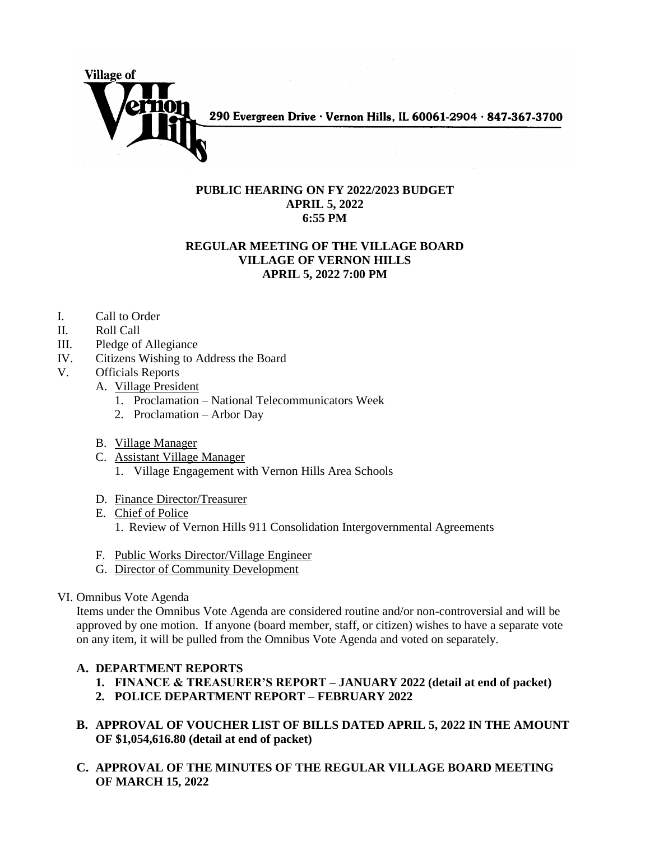

290 Evergreen Drive · Vernon Hills, IL 60061-2904 · 847-367-3700

### **PUBLIC HEARING ON FY 2022/2023 BUDGET APRIL 5, 2022 6:55 PM**

# **REGULAR MEETING OF THE VILLAGE BOARD VILLAGE OF VERNON HILLS APRIL 5, 2022 7:00 PM**

- I. Call to Order
- II. Roll Call
- III. Pledge of Allegiance
- IV. Citizens Wishing to Address the Board
- V. Officials Reports
	- A. Village President
		- 1. Proclamation National Telecommunicators Week
		- 2. Proclamation Arbor Day
	- B. Village Manager
	- C. Assistant Village Manager
		- 1. Village Engagement with Vernon Hills Area Schools
	- D. Finance Director/Treasurer
	- E. Chief of Police
		- 1. Review of Vernon Hills 911 Consolidation Intergovernmental Agreements
	- F. Public Works Director/Village Engineer
	- G. Director of Community Development
- VI. Omnibus Vote Agenda

Items under the Omnibus Vote Agenda are considered routine and/or non-controversial and will be approved by one motion. If anyone (board member, staff, or citizen) wishes to have a separate vote on any item, it will be pulled from the Omnibus Vote Agenda and voted on separately.

## **A. DEPARTMENT REPORTS**

- **1. FINANCE & TREASURER'S REPORT – JANUARY 2022 (detail at end of packet)**
- **2. POLICE DEPARTMENT REPORT – FEBRUARY 2022**
- **B. APPROVAL OF VOUCHER LIST OF BILLS DATED APRIL 5, 2022 IN THE AMOUNT OF \$1,054,616.80 (detail at end of packet)**
- **C. APPROVAL OF THE MINUTES OF THE REGULAR VILLAGE BOARD MEETING OF MARCH 15, 2022**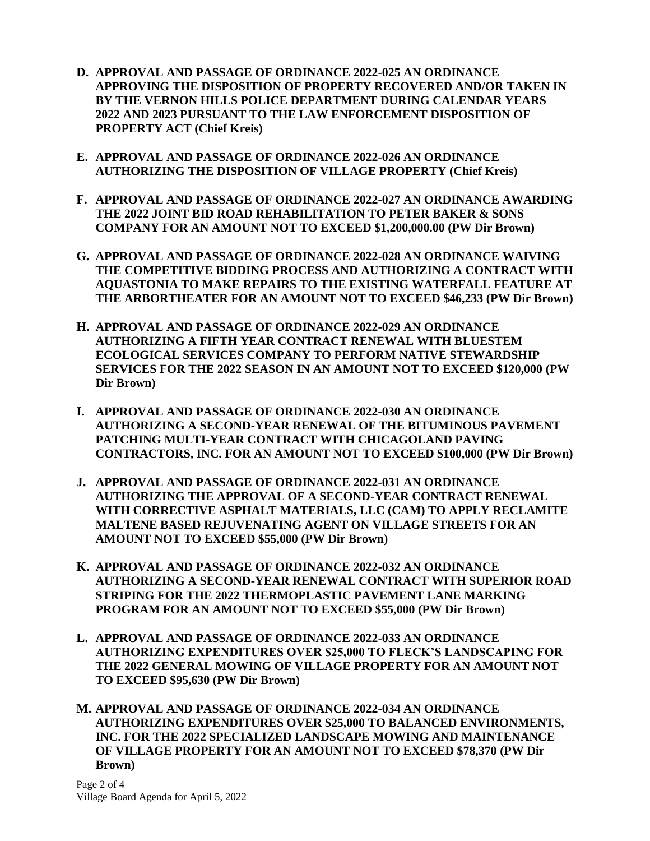- **D. APPROVAL AND PASSAGE OF ORDINANCE 2022-025 AN ORDINANCE APPROVING THE DISPOSITION OF PROPERTY RECOVERED AND/OR TAKEN IN BY THE VERNON HILLS POLICE DEPARTMENT DURING CALENDAR YEARS 2022 AND 2023 PURSUANT TO THE LAW ENFORCEMENT DISPOSITION OF PROPERTY ACT (Chief Kreis)**
- **E. APPROVAL AND PASSAGE OF ORDINANCE 2022-026 AN ORDINANCE AUTHORIZING THE DISPOSITION OF VILLAGE PROPERTY (Chief Kreis)**
- **F. APPROVAL AND PASSAGE OF ORDINANCE 2022-027 AN ORDINANCE AWARDING THE 2022 JOINT BID ROAD REHABILITATION TO PETER BAKER & SONS COMPANY FOR AN AMOUNT NOT TO EXCEED \$1,200,000.00 (PW Dir Brown)**
- **G. APPROVAL AND PASSAGE OF ORDINANCE 2022-028 AN ORDINANCE WAIVING THE COMPETITIVE BIDDING PROCESS AND AUTHORIZING A CONTRACT WITH AQUASTONIA TO MAKE REPAIRS TO THE EXISTING WATERFALL FEATURE AT THE ARBORTHEATER FOR AN AMOUNT NOT TO EXCEED \$46,233 (PW Dir Brown)**
- **H. APPROVAL AND PASSAGE OF ORDINANCE 2022-029 AN ORDINANCE AUTHORIZING A FIFTH YEAR CONTRACT RENEWAL WITH BLUESTEM ECOLOGICAL SERVICES COMPANY TO PERFORM NATIVE STEWARDSHIP SERVICES FOR THE 2022 SEASON IN AN AMOUNT NOT TO EXCEED \$120,000 (PW Dir Brown)**
- **I. APPROVAL AND PASSAGE OF ORDINANCE 2022-030 AN ORDINANCE AUTHORIZING A SECOND-YEAR RENEWAL OF THE BITUMINOUS PAVEMENT PATCHING MULTI-YEAR CONTRACT WITH CHICAGOLAND PAVING CONTRACTORS, INC. FOR AN AMOUNT NOT TO EXCEED \$100,000 (PW Dir Brown)**
- **J. APPROVAL AND PASSAGE OF ORDINANCE 2022-031 AN ORDINANCE AUTHORIZING THE APPROVAL OF A SECOND-YEAR CONTRACT RENEWAL WITH CORRECTIVE ASPHALT MATERIALS, LLC (CAM) TO APPLY RECLAMITE MALTENE BASED REJUVENATING AGENT ON VILLAGE STREETS FOR AN AMOUNT NOT TO EXCEED \$55,000 (PW Dir Brown)**
- **K. APPROVAL AND PASSAGE OF ORDINANCE 2022-032 AN ORDINANCE AUTHORIZING A SECOND-YEAR RENEWAL CONTRACT WITH SUPERIOR ROAD STRIPING FOR THE 2022 THERMOPLASTIC PAVEMENT LANE MARKING PROGRAM FOR AN AMOUNT NOT TO EXCEED \$55,000 (PW Dir Brown)**
- **L. APPROVAL AND PASSAGE OF ORDINANCE 2022-033 AN ORDINANCE AUTHORIZING EXPENDITURES OVER \$25,000 TO FLECK'S LANDSCAPING FOR THE 2022 GENERAL MOWING OF VILLAGE PROPERTY FOR AN AMOUNT NOT TO EXCEED \$95,630 (PW Dir Brown)**
- **M. APPROVAL AND PASSAGE OF ORDINANCE 2022-034 AN ORDINANCE AUTHORIZING EXPENDITURES OVER \$25,000 TO BALANCED ENVIRONMENTS, INC. FOR THE 2022 SPECIALIZED LANDSCAPE MOWING AND MAINTENANCE OF VILLAGE PROPERTY FOR AN AMOUNT NOT TO EXCEED \$78,370 (PW Dir Brown)**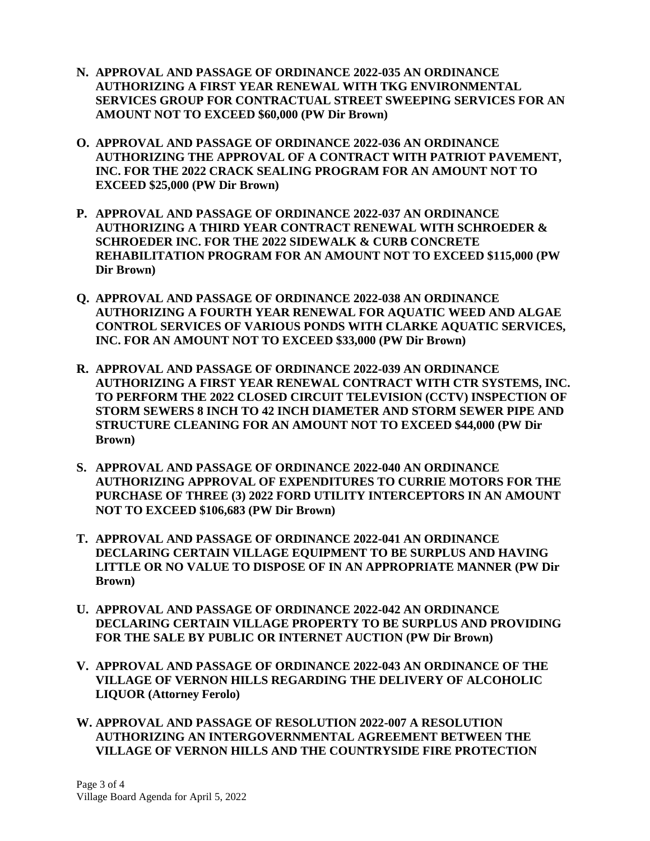- **N. APPROVAL AND PASSAGE OF ORDINANCE 2022-035 AN ORDINANCE AUTHORIZING A FIRST YEAR RENEWAL WITH TKG ENVIRONMENTAL SERVICES GROUP FOR CONTRACTUAL STREET SWEEPING SERVICES FOR AN AMOUNT NOT TO EXCEED \$60,000 (PW Dir Brown)**
- **O. APPROVAL AND PASSAGE OF ORDINANCE 2022-036 AN ORDINANCE AUTHORIZING THE APPROVAL OF A CONTRACT WITH PATRIOT PAVEMENT, INC. FOR THE 2022 CRACK SEALING PROGRAM FOR AN AMOUNT NOT TO EXCEED \$25,000 (PW Dir Brown)**
- **P. APPROVAL AND PASSAGE OF ORDINANCE 2022-037 AN ORDINANCE AUTHORIZING A THIRD YEAR CONTRACT RENEWAL WITH SCHROEDER & SCHROEDER INC. FOR THE 2022 SIDEWALK & CURB CONCRETE REHABILITATION PROGRAM FOR AN AMOUNT NOT TO EXCEED \$115,000 (PW Dir Brown)**
- **Q. APPROVAL AND PASSAGE OF ORDINANCE 2022-038 AN ORDINANCE AUTHORIZING A FOURTH YEAR RENEWAL FOR AQUATIC WEED AND ALGAE CONTROL SERVICES OF VARIOUS PONDS WITH CLARKE AQUATIC SERVICES, INC. FOR AN AMOUNT NOT TO EXCEED \$33,000 (PW Dir Brown)**
- **R. APPROVAL AND PASSAGE OF ORDINANCE 2022-039 AN ORDINANCE AUTHORIZING A FIRST YEAR RENEWAL CONTRACT WITH CTR SYSTEMS, INC. TO PERFORM THE 2022 CLOSED CIRCUIT TELEVISION (CCTV) INSPECTION OF STORM SEWERS 8 INCH TO 42 INCH DIAMETER AND STORM SEWER PIPE AND STRUCTURE CLEANING FOR AN AMOUNT NOT TO EXCEED \$44,000 (PW Dir Brown)**
- **S. APPROVAL AND PASSAGE OF ORDINANCE 2022-040 AN ORDINANCE AUTHORIZING APPROVAL OF EXPENDITURES TO CURRIE MOTORS FOR THE PURCHASE OF THREE (3) 2022 FORD UTILITY INTERCEPTORS IN AN AMOUNT NOT TO EXCEED \$106,683 (PW Dir Brown)**
- **T. APPROVAL AND PASSAGE OF ORDINANCE 2022-041 AN ORDINANCE DECLARING CERTAIN VILLAGE EQUIPMENT TO BE SURPLUS AND HAVING LITTLE OR NO VALUE TO DISPOSE OF IN AN APPROPRIATE MANNER (PW Dir Brown)**
- **U. APPROVAL AND PASSAGE OF ORDINANCE 2022-042 AN ORDINANCE DECLARING CERTAIN VILLAGE PROPERTY TO BE SURPLUS AND PROVIDING FOR THE SALE BY PUBLIC OR INTERNET AUCTION (PW Dir Brown)**
- **V. APPROVAL AND PASSAGE OF ORDINANCE 2022-043 AN ORDINANCE OF THE VILLAGE OF VERNON HILLS REGARDING THE DELIVERY OF ALCOHOLIC LIQUOR (Attorney Ferolo)**
- **W. APPROVAL AND PASSAGE OF RESOLUTION 2022-007 A RESOLUTION AUTHORIZING AN INTERGOVERNMENTAL AGREEMENT BETWEEN THE VILLAGE OF VERNON HILLS AND THE COUNTRYSIDE FIRE PROTECTION**